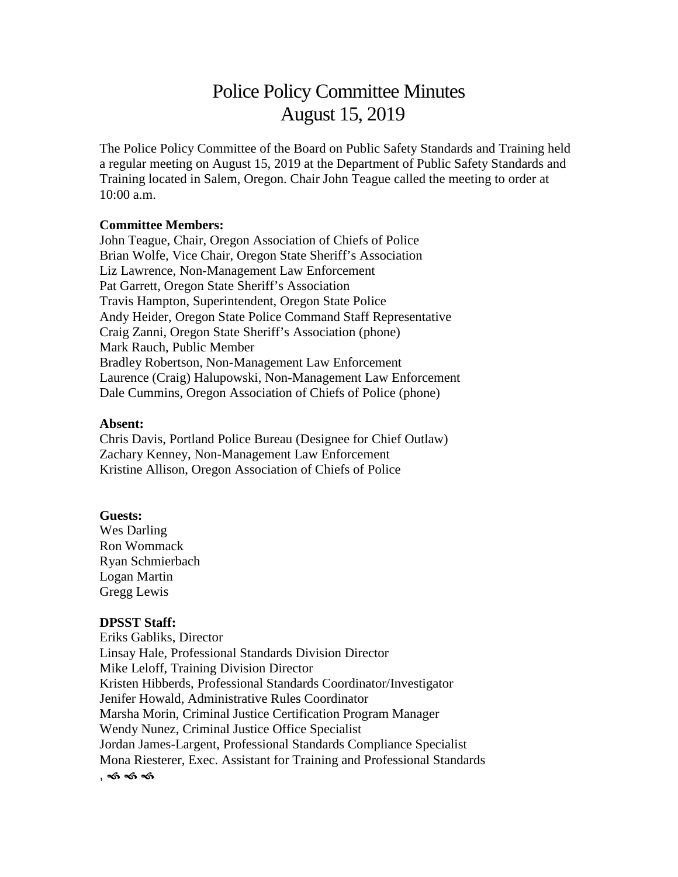# Police Policy Committee Minutes August 15, 2019

The Police Policy Committee of the Board on Public Safety Standards and Training held a regular meeting on August 15, 2019 at the Department of Public Safety Standards and Training located in Salem, Oregon. Chair John Teague called the meeting to order at 10:00 a.m.

#### **Committee Members:**

John Teague, Chair, Oregon Association of Chiefs of Police Brian Wolfe, Vice Chair, Oregon State Sheriff's Association Liz Lawrence, Non-Management Law Enforcement Pat Garrett, Oregon State Sheriff's Association Travis Hampton, Superintendent, Oregon State Police Andy Heider, Oregon State Police Command Staff Representative Craig Zanni, Oregon State Sheriff's Association (phone) Mark Rauch, Public Member Bradley Robertson, Non-Management Law Enforcement Laurence (Craig) Halupowski, Non-Management Law Enforcement Dale Cummins, Oregon Association of Chiefs of Police (phone)

#### **Absent:**

Chris Davis, Portland Police Bureau (Designee for Chief Outlaw) Zachary Kenney, Non-Management Law Enforcement Kristine Allison, Oregon Association of Chiefs of Police

#### **Guests:**

Wes Darling Ron Wommack Ryan Schmierbach Logan Martin Gregg Lewis

#### **DPSST Staff:**

Eriks Gabliks, Director Linsay Hale, Professional Standards Division Director Mike Leloff, Training Division Director Kristen Hibberds, Professional Standards Coordinator/Investigator Jenifer Howald, Administrative Rules Coordinator Marsha Morin, Criminal Justice Certification Program Manager Wendy Nunez, Criminal Justice Office Specialist Jordan James-Largent, Professional Standards Compliance Specialist Mona Riesterer, Exec. Assistant for Training and Professional Standards ,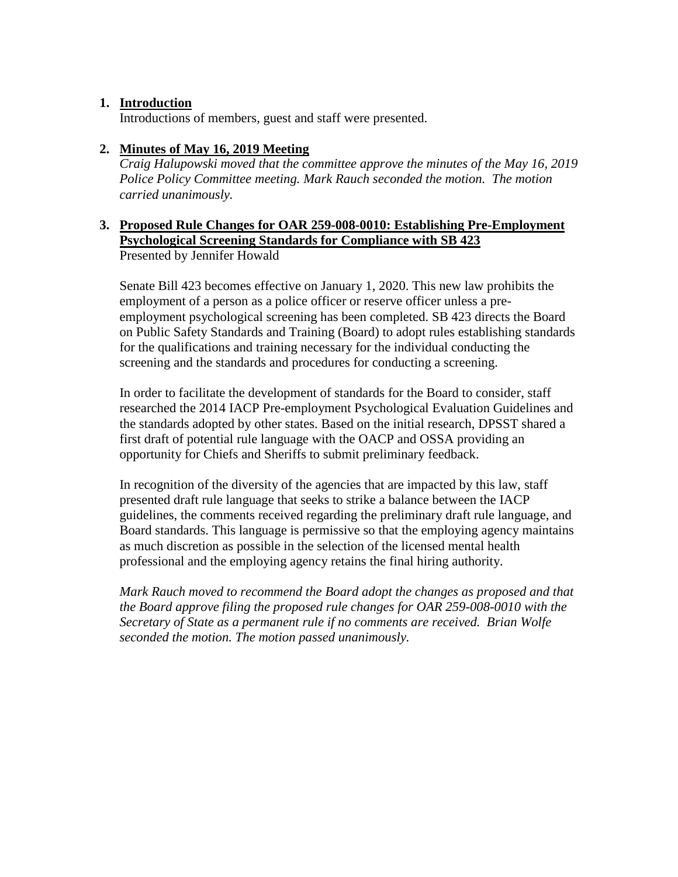### **1. Introduction**

Introductions of members, guest and staff were presented.

### **2. Minutes of May 16, 2019 Meeting**

*Craig Halupowski moved that the committee approve the minutes of the May 16, 2019 Police Policy Committee meeting. Mark Rauch seconded the motion. The motion carried unanimously.*

### **3. Proposed Rule Changes for OAR 259-008-0010: Establishing Pre-Employment Psychological Screening Standards for Compliance with SB 423** Presented by Jennifer Howald

Senate Bill 423 becomes effective on January 1, 2020. This new law prohibits the employment of a person as a police officer or reserve officer unless a preemployment psychological screening has been completed. SB 423 directs the Board on Public Safety Standards and Training (Board) to adopt rules establishing standards for the qualifications and training necessary for the individual conducting the screening and the standards and procedures for conducting a screening.

In order to facilitate the development of standards for the Board to consider, staff researched the 2014 IACP Pre-employment Psychological Evaluation Guidelines and the standards adopted by other states. Based on the initial research, DPSST shared a first draft of potential rule language with the OACP and OSSA providing an opportunity for Chiefs and Sheriffs to submit preliminary feedback.

In recognition of the diversity of the agencies that are impacted by this law, staff presented draft rule language that seeks to strike a balance between the IACP guidelines, the comments received regarding the preliminary draft rule language, and Board standards. This language is permissive so that the employing agency maintains as much discretion as possible in the selection of the licensed mental health professional and the employing agency retains the final hiring authority.

*Mark Rauch moved to recommend the Board adopt the changes as proposed and that the Board approve filing the proposed rule changes for OAR 259-008-0010 with the Secretary of State as a permanent rule if no comments are received. Brian Wolfe seconded the motion. The motion passed unanimously.*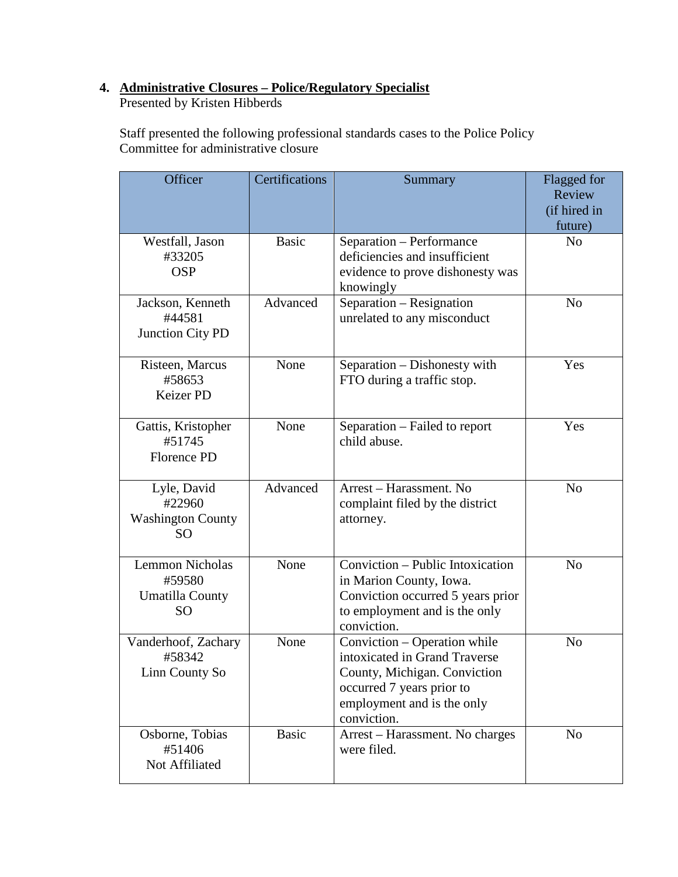# **4. Administrative Closures – Police/Regulatory Specialist**

Presented by Kristen Hibberds

Staff presented the following professional standards cases to the Police Policy Committee for administrative closure

| Officer                                                                 | Certifications | Summary                                                                                                                                                                 | Flagged for<br>Review<br>(if hired in<br>future) |
|-------------------------------------------------------------------------|----------------|-------------------------------------------------------------------------------------------------------------------------------------------------------------------------|--------------------------------------------------|
| Westfall, Jason<br>#33205<br><b>OSP</b>                                 | <b>Basic</b>   | Separation - Performance<br>deficiencies and insufficient<br>evidence to prove dishonesty was<br>knowingly                                                              | No                                               |
| Jackson, Kenneth<br>#44581<br>Junction City PD                          | Advanced       | Separation - Resignation<br>unrelated to any misconduct                                                                                                                 | N <sub>o</sub>                                   |
| Risteen, Marcus<br>#58653<br>Keizer PD                                  | None           | Separation – Dishonesty with<br>FTO during a traffic stop.                                                                                                              | Yes                                              |
| Gattis, Kristopher<br>#51745<br><b>Florence PD</b>                      | None           | Separation – Failed to report<br>child abuse.                                                                                                                           | Yes                                              |
| Lyle, David<br>#22960<br><b>Washington County</b><br>SO.                | Advanced       | Arrest - Harassment. No<br>complaint filed by the district<br>attorney.                                                                                                 | N <sub>o</sub>                                   |
| <b>Lemmon Nicholas</b><br>#59580<br><b>Umatilla County</b><br><b>SO</b> | None           | Conviction - Public Intoxication<br>in Marion County, Iowa.<br>Conviction occurred 5 years prior<br>to employment and is the only<br>conviction.                        | N <sub>0</sub>                                   |
| Vanderhoof, Zachary<br>#58342<br>Linn County So                         | None           | Conviction - Operation while<br>intoxicated in Grand Traverse<br>County, Michigan. Conviction<br>occurred 7 years prior to<br>employment and is the only<br>conviction. | N <sub>o</sub>                                   |
| Osborne, Tobias<br>#51406<br>Not Affiliated                             | <b>Basic</b>   | Arrest – Harassment. No charges<br>were filed.                                                                                                                          | N <sub>o</sub>                                   |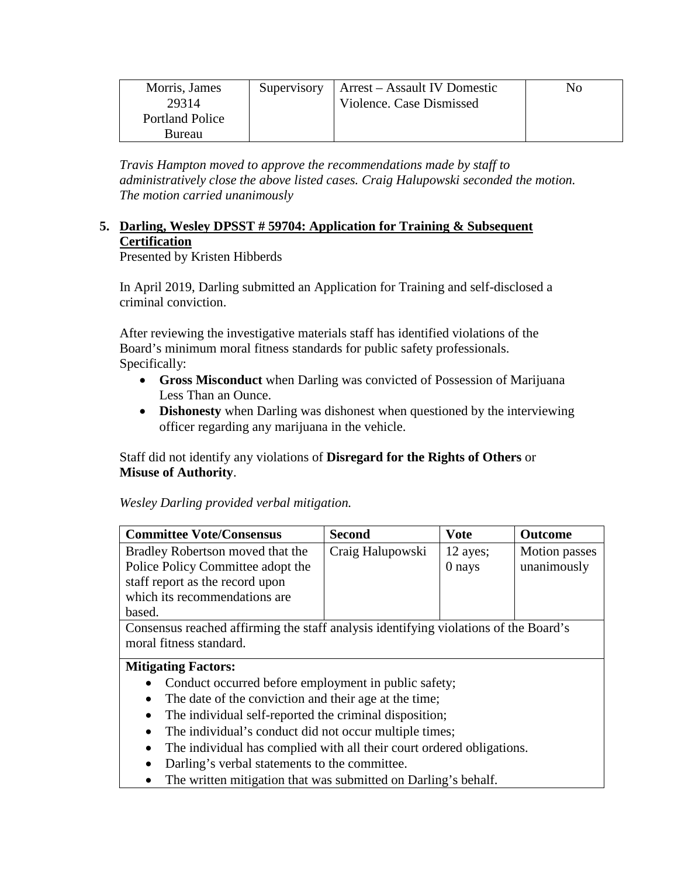| Morris, James          | Supervisory | Arrest – Assault IV Domestic | No |
|------------------------|-------------|------------------------------|----|
| 29314                  |             | Violence. Case Dismissed     |    |
| <b>Portland Police</b> |             |                              |    |
| Bureau                 |             |                              |    |

*Travis Hampton moved to approve the recommendations made by staff to administratively close the above listed cases. Craig Halupowski seconded the motion. The motion carried unanimously*

## **5. Darling, Wesley DPSST # 59704: Application for Training & Subsequent Certification**

Presented by Kristen Hibberds

In April 2019, Darling submitted an Application for Training and self-disclosed a criminal conviction.

After reviewing the investigative materials staff has identified violations of the Board's minimum moral fitness standards for public safety professionals. Specifically:

- **Gross Misconduct** when Darling was convicted of Possession of Marijuana Less Than an Ounce.
- **Dishonesty** when Darling was dishonest when questioned by the interviewing officer regarding any marijuana in the vehicle.

Staff did not identify any violations of **Disregard for the Rights of Others** or **Misuse of Authority**.

### *Wesley Darling provided verbal mitigation.*

| <b>Committee Vote/Consensus</b>   | <b>Second</b>    | <b>Vote</b> | <b>Outcome</b> |
|-----------------------------------|------------------|-------------|----------------|
| Bradley Robertson moved that the  | Craig Halupowski | 12 ayes;    | Motion passes  |
| Police Policy Committee adopt the |                  | 0 nays      | unanimously    |
| staff report as the record upon   |                  |             |                |
| which its recommendations are     |                  |             |                |
| based.                            |                  |             |                |

Consensus reached affirming the staff analysis identifying violations of the Board's moral fitness standard.

### **Mitigating Factors:**

- Conduct occurred before employment in public safety;
- The date of the conviction and their age at the time;
- The individual self-reported the criminal disposition;
- The individual's conduct did not occur multiple times;
- The individual has complied with all their court ordered obligations.
- Darling's verbal statements to the committee.
- The written mitigation that was submitted on Darling's behalf.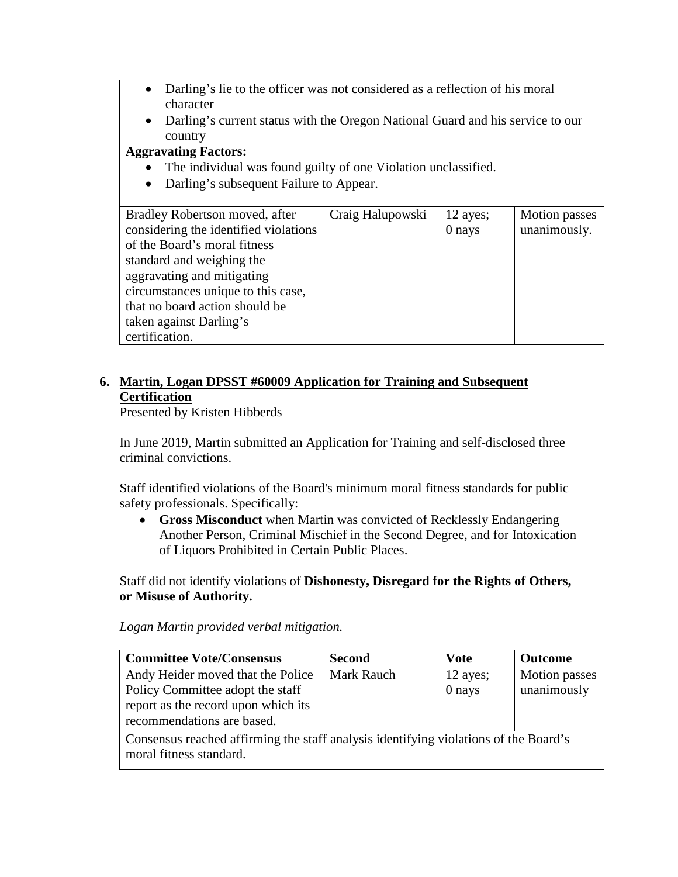- Darling's lie to the officer was not considered as a reflection of his moral character
- Darling's current status with the Oregon National Guard and his service to our country

# **Aggravating Factors:**

- The individual was found guilty of one Violation unclassified.
- Darling's subsequent Failure to Appear.

| Bradley Robertson moved, after        | Craig Halupowski | 12 ayes; | Motion passes |
|---------------------------------------|------------------|----------|---------------|
| considering the identified violations |                  | 0 nays   | unanimously.  |
| of the Board's moral fitness          |                  |          |               |
| standard and weighing the             |                  |          |               |
| aggravating and mitigating            |                  |          |               |
| circumstances unique to this case,    |                  |          |               |
| that no board action should be        |                  |          |               |
| taken against Darling's               |                  |          |               |
| certification.                        |                  |          |               |

# **6. Martin, Logan DPSST #60009 Application for Training and Subsequent Certification**

Presented by Kristen Hibberds

In June 2019, Martin submitted an Application for Training and self-disclosed three criminal convictions.

Staff identified violations of the Board's minimum moral fitness standards for public safety professionals. Specifically:

• **Gross Misconduct** when Martin was convicted of Recklessly Endangering Another Person, Criminal Mischief in the Second Degree, and for Intoxication of Liquors Prohibited in Certain Public Places.

Staff did not identify violations of **Dishonesty, Disregard for the Rights of Others, or Misuse of Authority.**

*Logan Martin provided verbal mitigation.*

| <b>Committee Vote/Consensus</b>                                                                                                            | <b>Second</b>     | <b>Vote</b>          | <b>Outcome</b>               |
|--------------------------------------------------------------------------------------------------------------------------------------------|-------------------|----------------------|------------------------------|
| Andy Heider moved that the Police<br>Policy Committee adopt the staff<br>report as the record upon which its<br>recommendations are based. | <b>Mark Rauch</b> | 12 ayes;<br>$0$ nays | Motion passes<br>unanimously |
| Consensus reached affirming the staff analysis identifying violations of the Board's<br>moral fitness standard.                            |                   |                      |                              |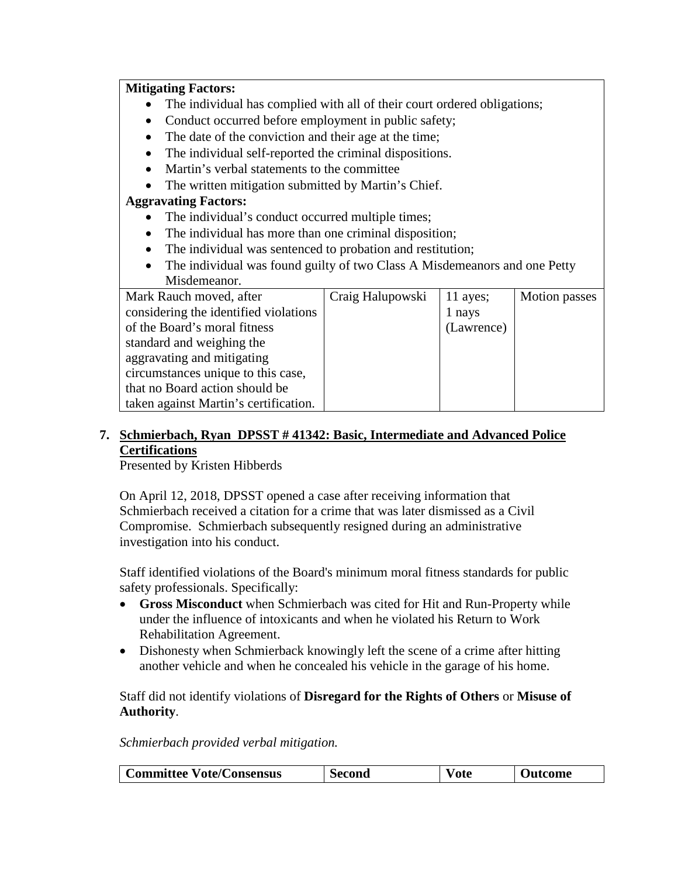### **Mitigating Factors:**

- The individual has complied with all of their court ordered obligations;
- Conduct occurred before employment in public safety;
- The date of the conviction and their age at the time;
- The individual self-reported the criminal dispositions.
- Martin's verbal statements to the committee
- The written mitigation submitted by Martin's Chief.

### **Aggravating Factors:**

- The individual's conduct occurred multiple times;
- The individual has more than one criminal disposition;
- The individual was sentenced to probation and restitution;
- The individual was found guilty of two Class A Misdemeanors and one Petty Misdemeanor.

| Mark Rauch moved, after               | Craig Halupowski | 11 ayes;   | Motion passes |
|---------------------------------------|------------------|------------|---------------|
| considering the identified violations |                  | 1 nays     |               |
| of the Board's moral fitness          |                  | (Lawrence) |               |
| standard and weighing the             |                  |            |               |
| aggravating and mitigating            |                  |            |               |
| circumstances unique to this case,    |                  |            |               |
| that no Board action should be        |                  |            |               |
| taken against Martin's certification. |                  |            |               |

# **7. Schmierbach, Ryan DPSST # 41342: Basic, Intermediate and Advanced Police Certifications**

Presented by Kristen Hibberds

On April 12, 2018, DPSST opened a case after receiving information that Schmierbach received a citation for a crime that was later dismissed as a Civil Compromise. Schmierbach subsequently resigned during an administrative investigation into his conduct.

Staff identified violations of the Board's minimum moral fitness standards for public safety professionals. Specifically:

- **Gross Misconduct** when Schmierbach was cited for Hit and Run-Property while under the influence of intoxicants and when he violated his Return to Work Rehabilitation Agreement.
- Dishonesty when Schmierback knowingly left the scene of a crime after hitting another vehicle and when he concealed his vehicle in the garage of his home.

Staff did not identify violations of **Disregard for the Rights of Others** or **Misuse of Authority**.

*Schmierbach provided verbal mitigation.*

| <b>Committee Vote/Consensus</b> | Second | ∨ote | <b>Outcome</b> |
|---------------------------------|--------|------|----------------|
|---------------------------------|--------|------|----------------|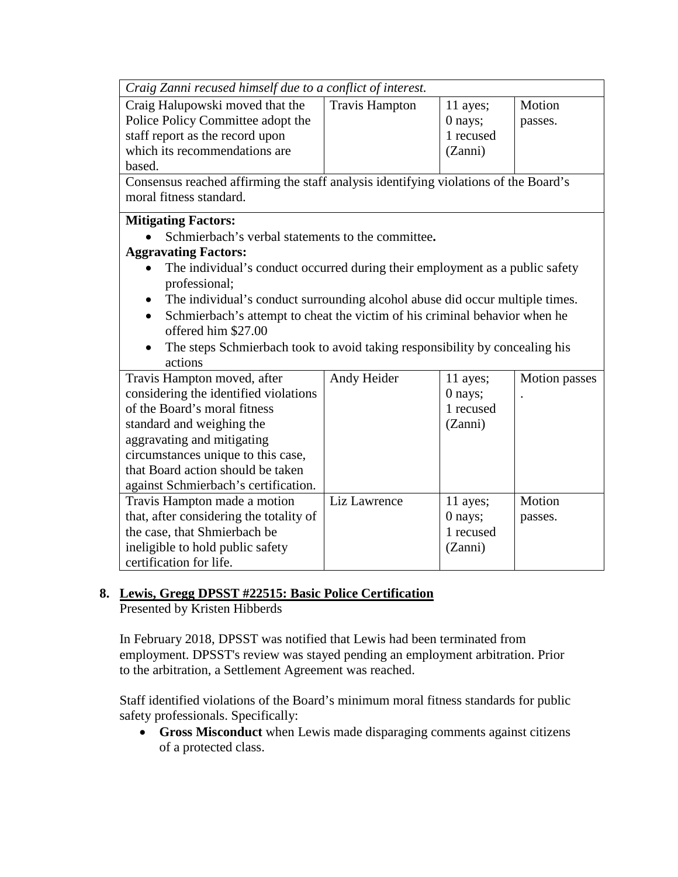| Craig Zanni recused himself due to a conflict of interest.                                                                                                                                                                                                                                                                                                                                                                                                                          |                       |                                             |                   |
|-------------------------------------------------------------------------------------------------------------------------------------------------------------------------------------------------------------------------------------------------------------------------------------------------------------------------------------------------------------------------------------------------------------------------------------------------------------------------------------|-----------------------|---------------------------------------------|-------------------|
| Craig Halupowski moved that the<br>Police Policy Committee adopt the<br>staff report as the record upon<br>which its recommendations are<br>based.                                                                                                                                                                                                                                                                                                                                  | <b>Travis Hampton</b> | 11 ayes;<br>0 nays;<br>1 recused<br>(Zanni) | Motion<br>passes. |
| Consensus reached affirming the staff analysis identifying violations of the Board's<br>moral fitness standard.                                                                                                                                                                                                                                                                                                                                                                     |                       |                                             |                   |
| <b>Mitigating Factors:</b><br>Schmierbach's verbal statements to the committee.<br><b>Aggravating Factors:</b><br>The individual's conduct occurred during their employment as a public safety<br>professional;<br>The individual's conduct surrounding alcohol abuse did occur multiple times.<br>Schmierbach's attempt to cheat the victim of his criminal behavior when he<br>offered him \$27.00<br>The steps Schmierbach took to avoid taking responsibility by concealing his |                       |                                             |                   |
| actions<br>Travis Hampton moved, after<br>considering the identified violations<br>of the Board's moral fitness<br>standard and weighing the<br>aggravating and mitigating<br>circumstances unique to this case,<br>that Board action should be taken<br>against Schmierbach's certification.                                                                                                                                                                                       | Andy Heider           | 11 ayes;<br>0 nays;<br>1 recused<br>(Zanni) | Motion passes     |
| Travis Hampton made a motion<br>that, after considering the totality of<br>the case, that Shmierbach be<br>ineligible to hold public safety<br>certification for life.                                                                                                                                                                                                                                                                                                              | Liz Lawrence          | 11 ayes;<br>0 nays;<br>1 recused<br>(Zanni) | Motion<br>passes. |

### **8. Lewis, Gregg DPSST #22515: Basic Police Certification**  Presented by Kristen Hibberds

In February 2018, DPSST was notified that Lewis had been terminated from employment. DPSST's review was stayed pending an employment arbitration. Prior to the arbitration, a Settlement Agreement was reached.

Staff identified violations of the Board's minimum moral fitness standards for public safety professionals. Specifically:

• **Gross Misconduct** when Lewis made disparaging comments against citizens of a protected class.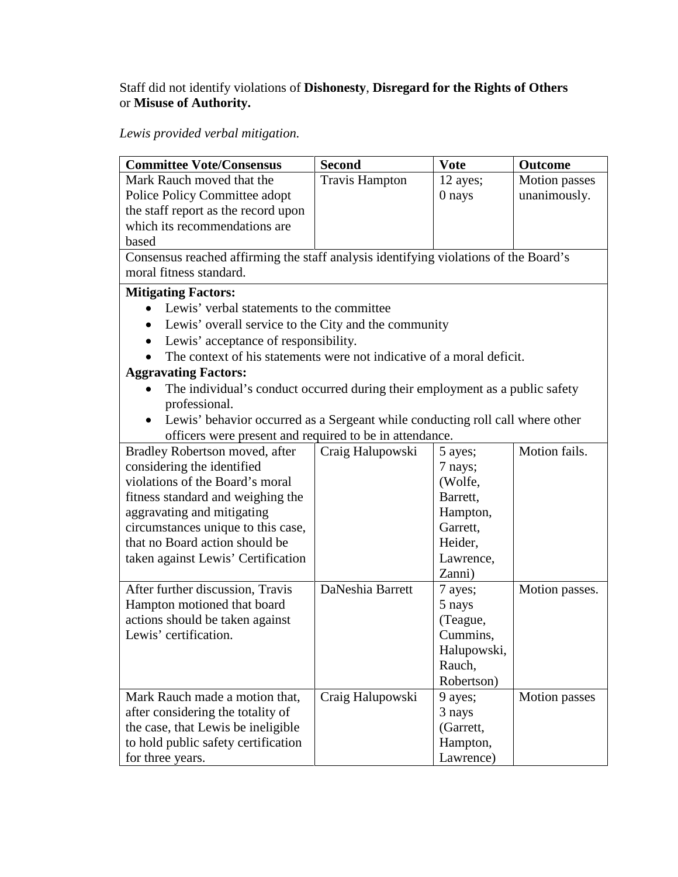### Staff did not identify violations of **Dishonesty**, **Disregard for the Rights of Others**  or **Misuse of Authority.**

# *Lewis provided verbal mitigation.*

| <b>Committee Vote/Consensus</b>                                                      | <b>Second</b>         | <b>Vote</b> | <b>Outcome</b> |
|--------------------------------------------------------------------------------------|-----------------------|-------------|----------------|
| Mark Rauch moved that the                                                            | <b>Travis Hampton</b> | 12 ayes;    | Motion passes  |
| Police Policy Committee adopt                                                        |                       | 0 nays      | unanimously.   |
| the staff report as the record upon                                                  |                       |             |                |
| which its recommendations are                                                        |                       |             |                |
| based                                                                                |                       |             |                |
| Consensus reached affirming the staff analysis identifying violations of the Board's |                       |             |                |
| moral fitness standard.                                                              |                       |             |                |
| <b>Mitigating Factors:</b>                                                           |                       |             |                |
| Lewis' verbal statements to the committee                                            |                       |             |                |
| Lewis' overall service to the City and the community                                 |                       |             |                |
| Lewis' acceptance of responsibility.                                                 |                       |             |                |
| The context of his statements were not indicative of a moral deficit.                |                       |             |                |
| <b>Aggravating Factors:</b>                                                          |                       |             |                |
| The individual's conduct occurred during their employment as a public safety         |                       |             |                |
| professional.                                                                        |                       |             |                |
| Lewis' behavior occurred as a Sergeant while conducting roll call where other        |                       |             |                |
| officers were present and required to be in attendance.                              |                       |             |                |
| Bradley Robertson moved, after                                                       | Craig Halupowski      | 5 ayes;     | Motion fails.  |
| considering the identified                                                           |                       | 7 nays;     |                |
| violations of the Board's moral                                                      |                       | (Wolfe,     |                |
| fitness standard and weighing the                                                    |                       | Barrett,    |                |
| aggravating and mitigating                                                           |                       | Hampton,    |                |
| circumstances unique to this case,                                                   |                       | Garrett,    |                |
| that no Board action should be                                                       |                       | Heider,     |                |
| taken against Lewis' Certification                                                   |                       | Lawrence,   |                |
|                                                                                      |                       | Zanni)      |                |
| After further discussion, Travis                                                     | DaNeshia Barrett      | 7 ayes;     | Motion passes. |
| Hampton motioned that board                                                          |                       | 5 nays      |                |
| actions should be taken against                                                      |                       | (Teague,    |                |
| Lewis' certification.                                                                |                       | Cummins,    |                |
|                                                                                      |                       | Halupowski, |                |
|                                                                                      |                       | Rauch,      |                |
|                                                                                      |                       | Robertson)  |                |
| Mark Rauch made a motion that,                                                       | Craig Halupowski      | 9 ayes;     | Motion passes  |
| after considering the totality of                                                    |                       | 3 nays      |                |
| the case, that Lewis be ineligible                                                   |                       | (Garrett,   |                |
| to hold public safety certification                                                  |                       | Hampton,    |                |
| for three years.                                                                     |                       | Lawrence)   |                |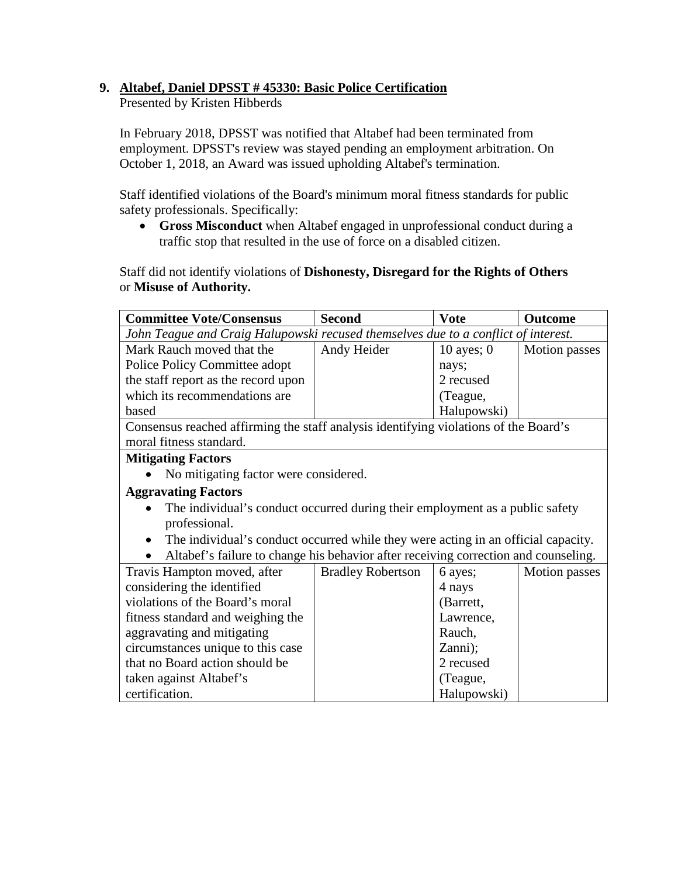# **9. Altabef, Daniel DPSST # 45330: Basic Police Certification**

Presented by Kristen Hibberds

In February 2018, DPSST was notified that Altabef had been terminated from employment. DPSST's review was stayed pending an employment arbitration. On October 1, 2018, an Award was issued upholding Altabef's termination.

Staff identified violations of the Board's minimum moral fitness standards for public safety professionals. Specifically:

• **Gross Misconduct** when Altabef engaged in unprofessional conduct during a traffic stop that resulted in the use of force on a disabled citizen.

Staff did not identify violations of **Dishonesty, Disregard for the Rights of Others** or **Misuse of Authority.**

| <b>Committee Vote/Consensus</b>                                                                | <b>Second</b>                                                                      | <b>Vote</b>  | Outcome       |  |  |
|------------------------------------------------------------------------------------------------|------------------------------------------------------------------------------------|--------------|---------------|--|--|
|                                                                                                | John Teague and Craig Halupowski recused themselves due to a conflict of interest. |              |               |  |  |
| Mark Rauch moved that the                                                                      | Andy Heider                                                                        | 10 ayes; $0$ | Motion passes |  |  |
| Police Policy Committee adopt                                                                  |                                                                                    | nays;        |               |  |  |
| the staff report as the record upon                                                            |                                                                                    | 2 recused    |               |  |  |
| which its recommendations are                                                                  |                                                                                    | (Teague,     |               |  |  |
| based                                                                                          |                                                                                    | Halupowski)  |               |  |  |
| Consensus reached affirming the staff analysis identifying violations of the Board's           |                                                                                    |              |               |  |  |
| moral fitness standard.                                                                        |                                                                                    |              |               |  |  |
| <b>Mitigating Factors</b>                                                                      |                                                                                    |              |               |  |  |
| No mitigating factor were considered.                                                          |                                                                                    |              |               |  |  |
| <b>Aggravating Factors</b>                                                                     |                                                                                    |              |               |  |  |
| The individual's conduct occurred during their employment as a public safety                   |                                                                                    |              |               |  |  |
| professional.                                                                                  |                                                                                    |              |               |  |  |
| The individual's conduct occurred while they were acting in an official capacity.<br>$\bullet$ |                                                                                    |              |               |  |  |
| Altabef's failure to change his behavior after receiving correction and counseling.            |                                                                                    |              |               |  |  |
| Travis Hampton moved, after                                                                    | <b>Bradley Robertson</b>                                                           | 6 ayes;      | Motion passes |  |  |
| considering the identified                                                                     |                                                                                    | 4 nays       |               |  |  |
| violations of the Board's moral                                                                |                                                                                    | (Barrett,    |               |  |  |
| fitness standard and weighing the                                                              |                                                                                    | Lawrence,    |               |  |  |
| aggravating and mitigating                                                                     |                                                                                    | Rauch,       |               |  |  |
| circumstances unique to this case                                                              |                                                                                    | Zanni);      |               |  |  |
| that no Board action should be                                                                 |                                                                                    | 2 recused    |               |  |  |
| taken against Altabef's                                                                        |                                                                                    | (Teague,     |               |  |  |
| certification.                                                                                 |                                                                                    | Halupowski)  |               |  |  |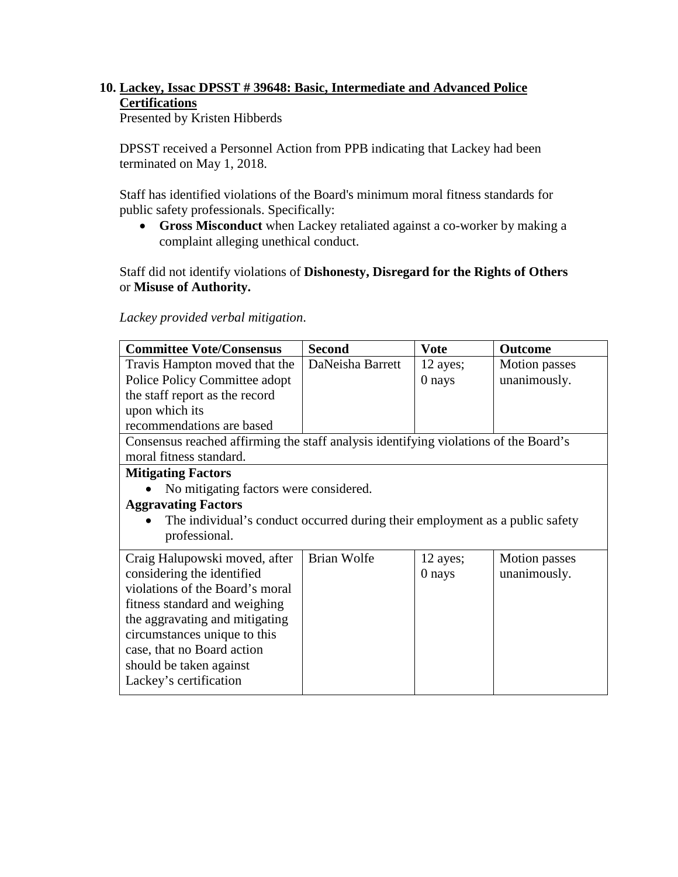# **10. Lackey, Issac DPSST # 39648: Basic, Intermediate and Advanced Police Certifications**

Presented by Kristen Hibberds

DPSST received a Personnel Action from PPB indicating that Lackey had been terminated on May 1, 2018.

Staff has identified violations of the Board's minimum moral fitness standards for public safety professionals. Specifically:

• **Gross Misconduct** when Lackey retaliated against a co-worker by making a complaint alleging unethical conduct.

Staff did not identify violations of **Dishonesty, Disregard for the Rights of Others**  or **Misuse of Authority.**

*Lackey provided verbal mitigation*.

| <b>Committee Vote/Consensus</b>                                                      | <b>Second</b>    | Vote     | <b>Outcome</b>       |  |
|--------------------------------------------------------------------------------------|------------------|----------|----------------------|--|
| Travis Hampton moved that the                                                        | DaNeisha Barrett | 12 ayes; | Motion passes        |  |
| Police Policy Committee adopt                                                        |                  | 0 nays   | unanimously.         |  |
| the staff report as the record                                                       |                  |          |                      |  |
| upon which its                                                                       |                  |          |                      |  |
| recommendations are based                                                            |                  |          |                      |  |
| Consensus reached affirming the staff analysis identifying violations of the Board's |                  |          |                      |  |
| moral fitness standard.                                                              |                  |          |                      |  |
| <b>Mitigating Factors</b>                                                            |                  |          |                      |  |
| No mitigating factors were considered.                                               |                  |          |                      |  |
| <b>Aggravating Factors</b>                                                           |                  |          |                      |  |
| The individual's conduct occurred during their employment as a public safety         |                  |          |                      |  |
| professional.                                                                        |                  |          |                      |  |
| Craig Halupowski moved, after                                                        | Brian Wolfe      | 12 ayes; | <b>Motion</b> passes |  |
| considering the identified                                                           |                  | $0$ nays | unanimously.         |  |
| violations of the Board's moral                                                      |                  |          |                      |  |
| fitness standard and weighing                                                        |                  |          |                      |  |
| the aggravating and mitigating                                                       |                  |          |                      |  |
| circumstances unique to this                                                         |                  |          |                      |  |
| case, that no Board action                                                           |                  |          |                      |  |
| should be taken against                                                              |                  |          |                      |  |
| Lackey's certification                                                               |                  |          |                      |  |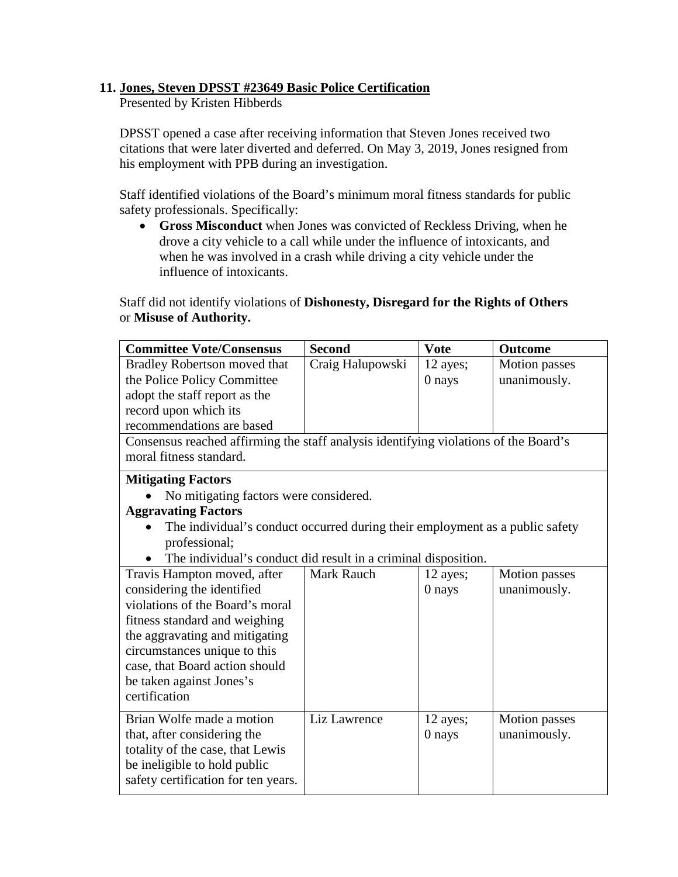### **11. Jones, Steven DPSST #23649 Basic Police Certification**

Presented by Kristen Hibberds

DPSST opened a case after receiving information that Steven Jones received two citations that were later diverted and deferred. On May 3, 2019, Jones resigned from his employment with PPB during an investigation.

Staff identified violations of the Board's minimum moral fitness standards for public safety professionals. Specifically:

• **Gross Misconduct** when Jones was convicted of Reckless Driving, when he drove a city vehicle to a call while under the influence of intoxicants, and when he was involved in a crash while driving a city vehicle under the influence of intoxicants.

Staff did not identify violations of **Dishonesty, Disregard for the Rights of Others**  or **Misuse of Authority.**

| <b>Committee Vote/Consensus</b>                                                      | <b>Second</b>     | <b>Vote</b> | <b>Outcome</b>       |
|--------------------------------------------------------------------------------------|-------------------|-------------|----------------------|
| Bradley Robertson moved that                                                         | Craig Halupowski  | 12 ayes;    | <b>Motion</b> passes |
| the Police Policy Committee                                                          |                   | 0 nays      | unanimously.         |
| adopt the staff report as the                                                        |                   |             |                      |
| record upon which its                                                                |                   |             |                      |
| recommendations are based                                                            |                   |             |                      |
| Consensus reached affirming the staff analysis identifying violations of the Board's |                   |             |                      |
| moral fitness standard.                                                              |                   |             |                      |
| <b>Mitigating Factors</b>                                                            |                   |             |                      |
| No mitigating factors were considered.                                               |                   |             |                      |
| <b>Aggravating Factors</b>                                                           |                   |             |                      |
| The individual's conduct occurred during their employment as a public safety         |                   |             |                      |
| professional;                                                                        |                   |             |                      |
| The individual's conduct did result in a criminal disposition.                       |                   |             |                      |
| Travis Hampton moved, after                                                          | <b>Mark Rauch</b> | 12 ayes;    | <b>Motion</b> passes |
| considering the identified                                                           |                   | 0 nays      | unanimously.         |
| violations of the Board's moral                                                      |                   |             |                      |
| fitness standard and weighing                                                        |                   |             |                      |
| the aggravating and mitigating                                                       |                   |             |                      |
| circumstances unique to this                                                         |                   |             |                      |
| case, that Board action should                                                       |                   |             |                      |
| be taken against Jones's                                                             |                   |             |                      |
| certification                                                                        |                   |             |                      |
| Brian Wolfe made a motion                                                            | Liz Lawrence      | 12 ayes;    | Motion passes        |
| that, after considering the                                                          |                   | 0 nays      | unanimously.         |
| totality of the case, that Lewis                                                     |                   |             |                      |
| be ineligible to hold public                                                         |                   |             |                      |
| safety certification for ten years.                                                  |                   |             |                      |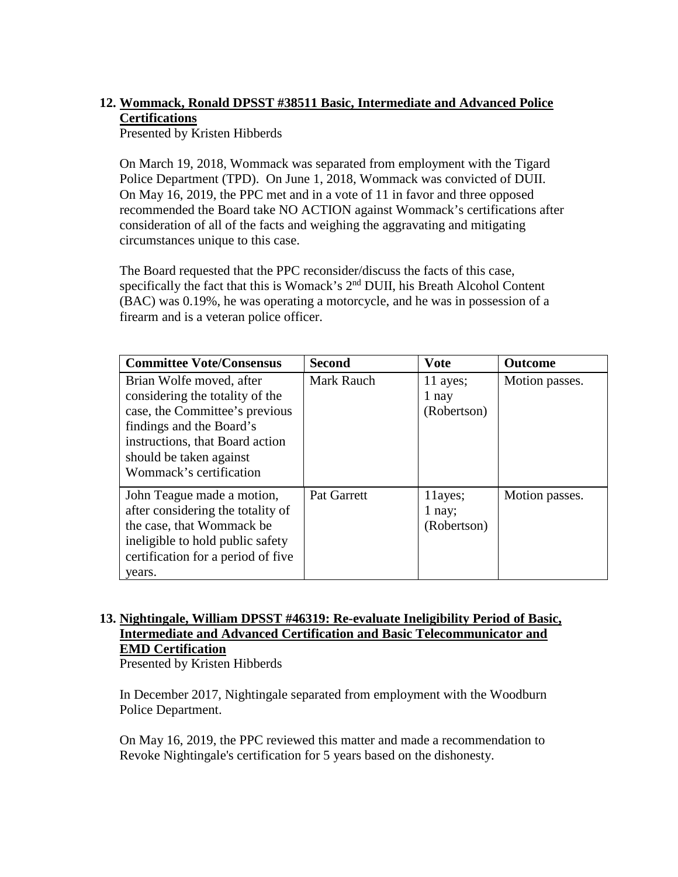# **12. Wommack, Ronald DPSST #38511 Basic, Intermediate and Advanced Police Certifications**

Presented by Kristen Hibberds

On March 19, 2018, Wommack was separated from employment with the Tigard Police Department (TPD). On June 1, 2018, Wommack was convicted of DUII. On May 16, 2019, the PPC met and in a vote of 11 in favor and three opposed recommended the Board take NO ACTION against Wommack's certifications after consideration of all of the facts and weighing the aggravating and mitigating circumstances unique to this case.

The Board requested that the PPC reconsider/discuss the facts of this case, specifically the fact that this is Womack's 2<sup>nd</sup> DUII, his Breath Alcohol Content (BAC) was 0.19%, he was operating a motorcycle, and he was in possession of a firearm and is a veteran police officer.

| <b>Committee Vote/Consensus</b>                                                                                                                                                                                    | <b>Second</b>      | <b>Vote</b>                        | <b>Outcome</b> |
|--------------------------------------------------------------------------------------------------------------------------------------------------------------------------------------------------------------------|--------------------|------------------------------------|----------------|
| Brian Wolfe moved, after<br>considering the totality of the<br>case, the Committee's previous<br>findings and the Board's<br>instructions, that Board action<br>should be taken against<br>Wommack's certification | <b>Mark Rauch</b>  | 11 ayes;<br>1 nay<br>(Robertson)   | Motion passes. |
| John Teague made a motion,<br>after considering the totality of<br>the case, that Wommack be<br>ineligible to hold public safety<br>certification for a period of five<br>years.                                   | <b>Pat Garrett</b> | 11ayes;<br>$1$ nay;<br>(Robertson) | Motion passes. |

# **13. Nightingale, William DPSST #46319: Re-evaluate Ineligibility Period of Basic, Intermediate and Advanced Certification and Basic Telecommunicator and EMD Certification**

Presented by Kristen Hibberds

In December 2017, Nightingale separated from employment with the Woodburn Police Department.

On May 16, 2019, the PPC reviewed this matter and made a recommendation to Revoke Nightingale's certification for 5 years based on the dishonesty.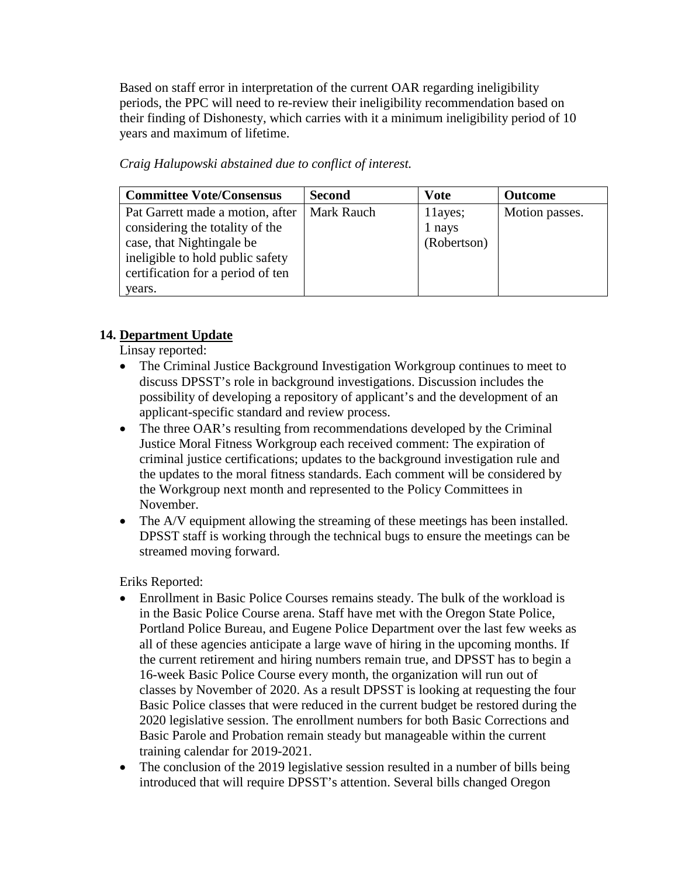Based on staff error in interpretation of the current OAR regarding ineligibility periods, the PPC will need to re-review their ineligibility recommendation based on their finding of Dishonesty, which carries with it a minimum ineligibility period of 10 years and maximum of lifetime.

*Craig Halupowski abstained due to conflict of interest.* 

| <b>Committee Vote/Consensus</b>   | <b>Second</b> | <b>Vote</b> | <b>Outcome</b> |
|-----------------------------------|---------------|-------------|----------------|
| Pat Garrett made a motion, after  | Mark Rauch    | 11ayes;     | Motion passes. |
| considering the totality of the   |               | 1 nays      |                |
| case, that Nightingale be         |               | (Robertson) |                |
| ineligible to hold public safety  |               |             |                |
| certification for a period of ten |               |             |                |
| years.                            |               |             |                |

# **14. Department Update**

Linsay reported:

- The Criminal Justice Background Investigation Workgroup continues to meet to discuss DPSST's role in background investigations. Discussion includes the possibility of developing a repository of applicant's and the development of an applicant-specific standard and review process.
- The three OAR's resulting from recommendations developed by the Criminal Justice Moral Fitness Workgroup each received comment: The expiration of criminal justice certifications; updates to the background investigation rule and the updates to the moral fitness standards. Each comment will be considered by the Workgroup next month and represented to the Policy Committees in November.
- The A/V equipment allowing the streaming of these meetings has been installed. DPSST staff is working through the technical bugs to ensure the meetings can be streamed moving forward.

Eriks Reported:

- Enrollment in Basic Police Courses remains steady. The bulk of the workload is in the Basic Police Course arena. Staff have met with the Oregon State Police, Portland Police Bureau, and Eugene Police Department over the last few weeks as all of these agencies anticipate a large wave of hiring in the upcoming months. If the current retirement and hiring numbers remain true, and DPSST has to begin a 16-week Basic Police Course every month, the organization will run out of classes by November of 2020. As a result DPSST is looking at requesting the four Basic Police classes that were reduced in the current budget be restored during the 2020 legislative session. The enrollment numbers for both Basic Corrections and Basic Parole and Probation remain steady but manageable within the current training calendar for 2019-2021.
- The conclusion of the 2019 legislative session resulted in a number of bills being introduced that will require DPSST's attention. Several bills changed Oregon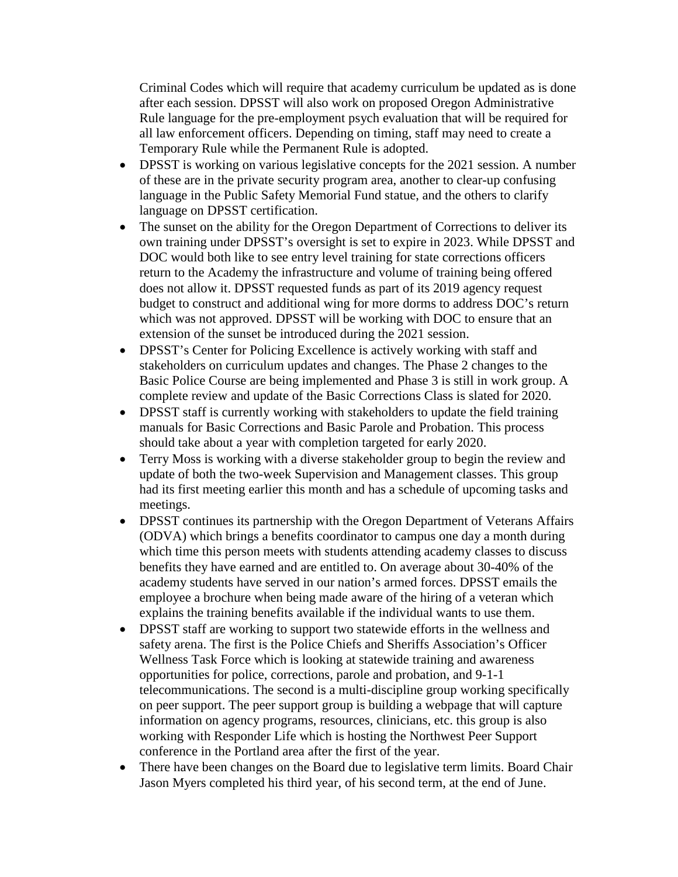Criminal Codes which will require that academy curriculum be updated as is done after each session. DPSST will also work on proposed Oregon Administrative Rule language for the pre-employment psych evaluation that will be required for all law enforcement officers. Depending on timing, staff may need to create a Temporary Rule while the Permanent Rule is adopted.

- DPSST is working on various legislative concepts for the 2021 session. A number of these are in the private security program area, another to clear-up confusing language in the Public Safety Memorial Fund statue, and the others to clarify language on DPSST certification.
- The sunset on the ability for the Oregon Department of Corrections to deliver its own training under DPSST's oversight is set to expire in 2023. While DPSST and DOC would both like to see entry level training for state corrections officers return to the Academy the infrastructure and volume of training being offered does not allow it. DPSST requested funds as part of its 2019 agency request budget to construct and additional wing for more dorms to address DOC's return which was not approved. DPSST will be working with DOC to ensure that an extension of the sunset be introduced during the 2021 session.
- DPSST's Center for Policing Excellence is actively working with staff and stakeholders on curriculum updates and changes. The Phase 2 changes to the Basic Police Course are being implemented and Phase 3 is still in work group. A complete review and update of the Basic Corrections Class is slated for 2020.
- DPSST staff is currently working with stakeholders to update the field training manuals for Basic Corrections and Basic Parole and Probation. This process should take about a year with completion targeted for early 2020.
- Terry Moss is working with a diverse stakeholder group to begin the review and update of both the two-week Supervision and Management classes. This group had its first meeting earlier this month and has a schedule of upcoming tasks and meetings.
- DPSST continues its partnership with the Oregon Department of Veterans Affairs (ODVA) which brings a benefits coordinator to campus one day a month during which time this person meets with students attending academy classes to discuss benefits they have earned and are entitled to. On average about 30-40% of the academy students have served in our nation's armed forces. DPSST emails the employee a brochure when being made aware of the hiring of a veteran which explains the training benefits available if the individual wants to use them.
- DPSST staff are working to support two statewide efforts in the wellness and safety arena. The first is the Police Chiefs and Sheriffs Association's Officer Wellness Task Force which is looking at statewide training and awareness opportunities for police, corrections, parole and probation, and 9-1-1 telecommunications. The second is a multi-discipline group working specifically on peer support. The peer support group is building a webpage that will capture information on agency programs, resources, clinicians, etc. this group is also working with Responder Life which is hosting the Northwest Peer Support conference in the Portland area after the first of the year.
- There have been changes on the Board due to legislative term limits. Board Chair Jason Myers completed his third year, of his second term, at the end of June.